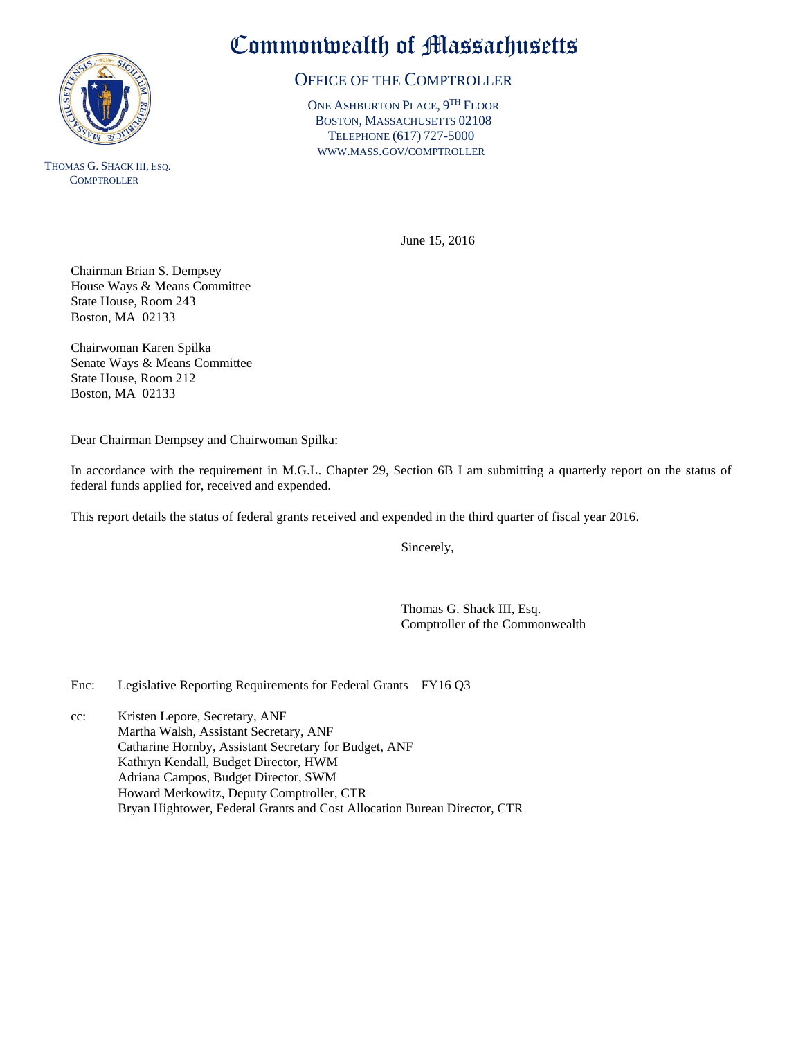

THOMAS G. SHACK III, ESQ. **COMPTROLLER** 

## Commonwealth of Massachusetts

## OFFICE OF THE COMPTROLLER

ONE ASHBURTON PLACE, 9<sup>TH</sup> FLOOR BOSTON, MASSACHUSETTS 02108 TELEPHONE (617) 727-5000 WWW.MASS.GOV/COMPTROLLER

June 15, 2016

Chairman Brian S. Dempsey House Ways & Means Committee State House, Room 243 Boston, MA 02133

Chairwoman Karen Spilka Senate Ways & Means Committee State House, Room 212 Boston, MA 02133

Dear Chairman Dempsey and Chairwoman Spilka:

In accordance with the requirement in M.G.L. Chapter 29, Section 6B I am submitting a quarterly report on the status of federal funds applied for, received and expended.

This report details the status of federal grants received and expended in the third quarter of fiscal year 2016.

Sincerely,

Thomas G. Shack III, Esq. Comptroller of the Commonwealth

Enc: Legislative Reporting Requirements for Federal Grants—FY16 Q3

cc: Kristen Lepore, Secretary, ANF Martha Walsh, Assistant Secretary, ANF Catharine Hornby, Assistant Secretary for Budget, ANF Kathryn Kendall, Budget Director, HWM Adriana Campos, Budget Director, SWM Howard Merkowitz, Deputy Comptroller, CTR Bryan Hightower, Federal Grants and Cost Allocation Bureau Director, CTR